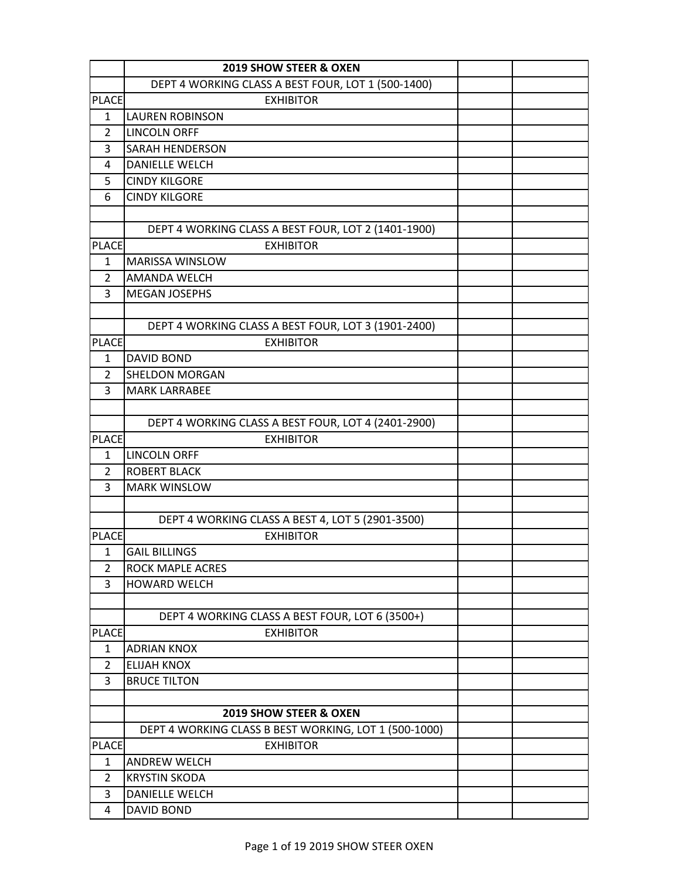|                     | <b>2019 SHOW STEER &amp; OXEN</b>                     |  |
|---------------------|-------------------------------------------------------|--|
|                     | DEPT 4 WORKING CLASS A BEST FOUR, LOT 1 (500-1400)    |  |
| <b>PLACE</b>        | <b>EXHIBITOR</b>                                      |  |
| 1                   | <b>LAUREN ROBINSON</b>                                |  |
| 2                   | <b>LINCOLN ORFF</b>                                   |  |
| 3                   | SARAH HENDERSON                                       |  |
| 4                   | <b>DANIELLE WELCH</b>                                 |  |
| 5                   | <b>CINDY KILGORE</b>                                  |  |
| 6                   | <b>CINDY KILGORE</b>                                  |  |
|                     |                                                       |  |
|                     | DEPT 4 WORKING CLASS A BEST FOUR, LOT 2 (1401-1900)   |  |
| <b>PLACE</b>        | <b>EXHIBITOR</b>                                      |  |
| 1                   | <b>MARISSA WINSLOW</b>                                |  |
| $\overline{2}$      | <b>AMANDA WELCH</b>                                   |  |
| 3                   | <b>MEGAN JOSEPHS</b>                                  |  |
|                     |                                                       |  |
|                     | DEPT 4 WORKING CLASS A BEST FOUR, LOT 3 (1901-2400)   |  |
| <b>PLACE</b>        | <b>EXHIBITOR</b>                                      |  |
| 1                   | <b>DAVID BOND</b>                                     |  |
| $\overline{2}$      | <b>SHELDON MORGAN</b>                                 |  |
| 3                   | <b>MARK LARRABEE</b>                                  |  |
|                     |                                                       |  |
|                     | DEPT 4 WORKING CLASS A BEST FOUR, LOT 4 (2401-2900)   |  |
| <b>PLACE</b>        | <b>EXHIBITOR</b>                                      |  |
| $\mathbf{1}$        | <b>LINCOLN ORFF</b>                                   |  |
| $\overline{2}$<br>3 | <b>ROBERT BLACK</b><br><b>MARK WINSLOW</b>            |  |
|                     |                                                       |  |
|                     | DEPT 4 WORKING CLASS A BEST 4, LOT 5 (2901-3500)      |  |
| <b>PLACE</b>        | <b>EXHIBITOR</b>                                      |  |
| 1                   | <b>GAIL BILLINGS</b>                                  |  |
| 2                   | <b>ROCK MAPLE ACRES</b>                               |  |
| 3                   | <b>HOWARD WELCH</b>                                   |  |
|                     |                                                       |  |
|                     | DEPT 4 WORKING CLASS A BEST FOUR, LOT 6 (3500+)       |  |
| <b>PLACE</b>        | <b>EXHIBITOR</b>                                      |  |
| 1                   | <b>ADRIAN KNOX</b>                                    |  |
| $\overline{2}$      | <b>ELIJAH KNOX</b>                                    |  |
| 3                   | <b>BRUCE TILTON</b>                                   |  |
|                     |                                                       |  |
|                     | 2019 SHOW STEER & OXEN                                |  |
|                     | DEPT 4 WORKING CLASS B BEST WORKING, LOT 1 (500-1000) |  |
| <b>PLACE</b>        | <b>EXHIBITOR</b>                                      |  |
| $\mathbf{1}$        | <b>ANDREW WELCH</b>                                   |  |
| $\overline{2}$      | <b>KRYSTIN SKODA</b>                                  |  |
| 3                   | DANIELLE WELCH                                        |  |
| 4                   | <b>DAVID BOND</b>                                     |  |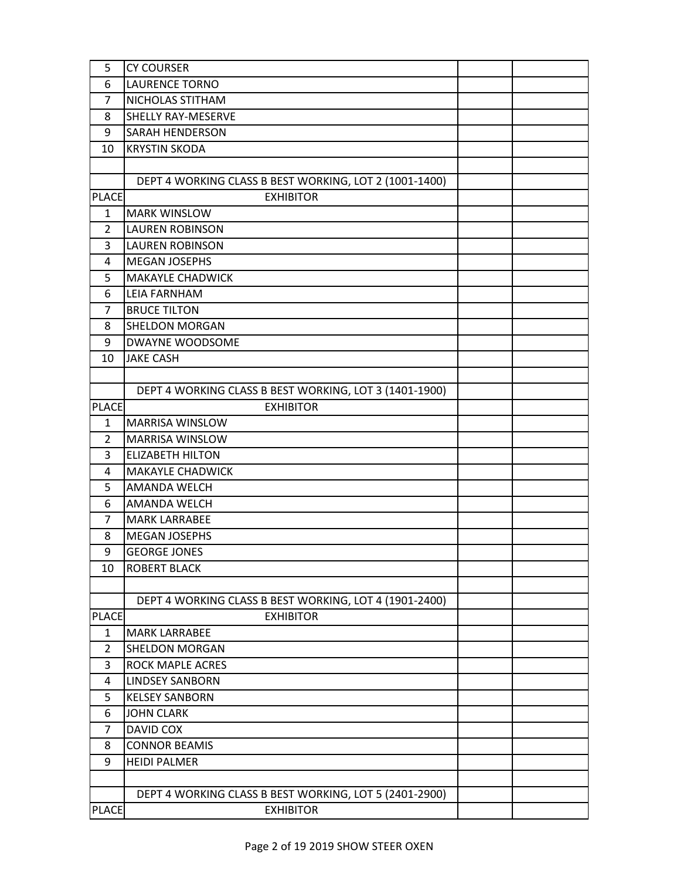| 5              | <b>CY COURSER</b>                                      |  |
|----------------|--------------------------------------------------------|--|
| 6              | <b>LAURENCE TORNO</b>                                  |  |
| 7              | NICHOLAS STITHAM                                       |  |
| 8              | SHELLY RAY-MESERVE                                     |  |
| 9              | <b>SARAH HENDERSON</b>                                 |  |
| 10             | <b>KRYSTIN SKODA</b>                                   |  |
|                |                                                        |  |
|                | DEPT 4 WORKING CLASS B BEST WORKING, LOT 2 (1001-1400) |  |
| <b>PLACE</b>   | <b>EXHIBITOR</b>                                       |  |
| $\mathbf{1}$   | <b>MARK WINSLOW</b>                                    |  |
| 2              | <b>LAUREN ROBINSON</b>                                 |  |
| 3              | <b>LAUREN ROBINSON</b>                                 |  |
| 4              | <b>MEGAN JOSEPHS</b>                                   |  |
| 5              | <b>MAKAYLE CHADWICK</b>                                |  |
| 6              | LEIA FARNHAM                                           |  |
| 7              | <b>BRUCE TILTON</b>                                    |  |
| 8              | SHELDON MORGAN                                         |  |
| 9              | DWAYNE WOODSOME                                        |  |
| 10             | <b>JAKE CASH</b>                                       |  |
|                |                                                        |  |
|                | DEPT 4 WORKING CLASS B BEST WORKING, LOT 3 (1401-1900) |  |
| <b>PLACE</b>   | <b>EXHIBITOR</b>                                       |  |
| 1              | <b>MARRISA WINSLOW</b>                                 |  |
| $\overline{2}$ | <b>MARRISA WINSLOW</b>                                 |  |
| 3              | <b>ELIZABETH HILTON</b>                                |  |
| 4              | <b>MAKAYLE CHADWICK</b>                                |  |
| 5              | AMANDA WELCH                                           |  |
| 6              | AMANDA WELCH                                           |  |
| $\overline{7}$ | <b>MARK LARRABEE</b>                                   |  |
| 8              | <b>MEGAN JOSEPHS</b>                                   |  |
| 9              | <b>GEORGE JONES</b>                                    |  |
| 10             | <b>ROBERT BLACK</b>                                    |  |
|                |                                                        |  |
|                | DEPT 4 WORKING CLASS B BEST WORKING, LOT 4 (1901-2400) |  |
| <b>PLACE</b>   | <b>EXHIBITOR</b>                                       |  |
| $\mathbf{1}$   | <b>MARK LARRABEE</b>                                   |  |
| 2              | <b>SHELDON MORGAN</b>                                  |  |
| 3              | <b>ROCK MAPLE ACRES</b>                                |  |
| 4              | <b>LINDSEY SANBORN</b>                                 |  |
| 5              | <b>KELSEY SANBORN</b>                                  |  |
| 6              | <b>JOHN CLARK</b>                                      |  |
| 7              | DAVID COX                                              |  |
| 8              | <b>CONNOR BEAMIS</b>                                   |  |
| 9              | <b>HEIDI PALMER</b>                                    |  |
|                |                                                        |  |
|                | DEPT 4 WORKING CLASS B BEST WORKING, LOT 5 (2401-2900) |  |
| <b>PLACE</b>   | <b>EXHIBITOR</b>                                       |  |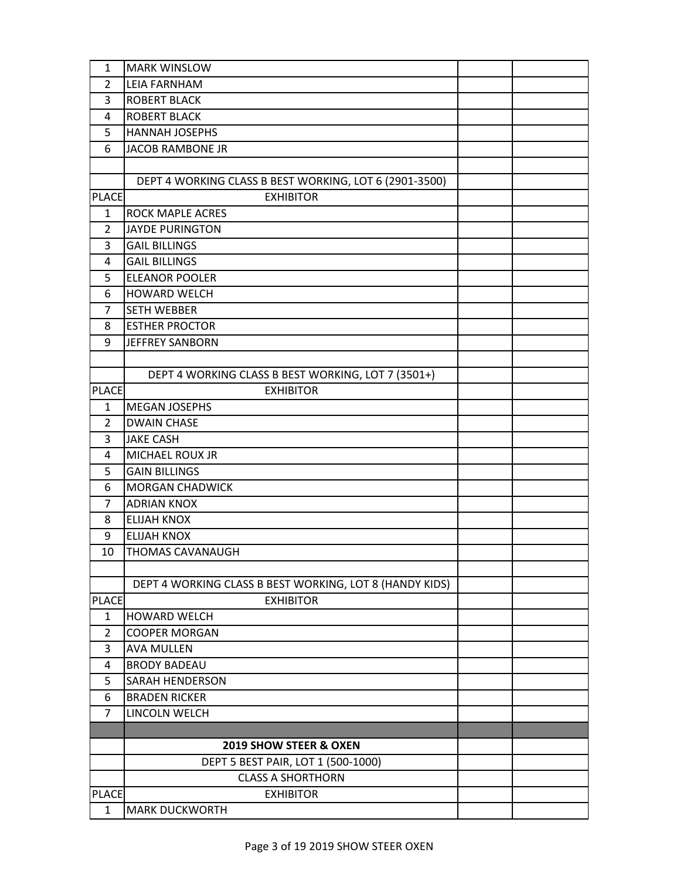| 1                   | <b>MARK WINSLOW</b>                                     |  |
|---------------------|---------------------------------------------------------|--|
| 2                   | <b>LEIA FARNHAM</b>                                     |  |
| 3                   | <b>ROBERT BLACK</b>                                     |  |
| 4                   | <b>ROBERT BLACK</b>                                     |  |
| 5                   | HANNAH JOSEPHS                                          |  |
| 6                   | JACOB RAMBONE JR                                        |  |
|                     |                                                         |  |
|                     | DEPT 4 WORKING CLASS B BEST WORKING, LOT 6 (2901-3500)  |  |
| <b>PLACE</b>        | <b>EXHIBITOR</b>                                        |  |
| $\mathbf{1}$        | <b>ROCK MAPLE ACRES</b>                                 |  |
| $\overline{2}$      | <b>JAYDE PURINGTON</b>                                  |  |
| 3                   | <b>GAIL BILLINGS</b>                                    |  |
| 4                   | <b>GAIL BILLINGS</b>                                    |  |
| 5                   | <b>ELEANOR POOLER</b>                                   |  |
| 6                   | <b>HOWARD WELCH</b>                                     |  |
| 7                   | <b>SETH WEBBER</b>                                      |  |
| 8                   | <b>ESTHER PROCTOR</b>                                   |  |
| 9                   | <b>JEFFREY SANBORN</b>                                  |  |
|                     |                                                         |  |
|                     | DEPT 4 WORKING CLASS B BEST WORKING, LOT 7 (3501+)      |  |
| <b>PLACE</b>        | <b>EXHIBITOR</b>                                        |  |
| 1                   | <b>MEGAN JOSEPHS</b>                                    |  |
| $\overline{2}$      | <b>DWAIN CHASE</b>                                      |  |
| 3                   | <b>JAKE CASH</b>                                        |  |
| 4                   | MICHAEL ROUX JR                                         |  |
| 5                   | <b>GAIN BILLINGS</b>                                    |  |
| 6                   | <b>MORGAN CHADWICK</b>                                  |  |
| 7                   | <b>ADRIAN KNOX</b>                                      |  |
| 8                   | <b>ELIJAH KNOX</b>                                      |  |
| 9                   | <b>ELIJAH KNOX</b>                                      |  |
| 10                  | THOMAS CAVANAUGH                                        |  |
|                     |                                                         |  |
|                     | DEPT 4 WORKING CLASS B BEST WORKING, LOT 8 (HANDY KIDS) |  |
| <b>PLACE</b>        | <b>EXHIBITOR</b>                                        |  |
| 1                   | <b>HOWARD WELCH</b>                                     |  |
| $\overline{2}$<br>3 | <b>COOPER MORGAN</b><br><b>AVA MULLEN</b>               |  |
| 4                   | <b>BRODY BADEAU</b>                                     |  |
| 5                   | <b>SARAH HENDERSON</b>                                  |  |
| 6                   | <b>BRADEN RICKER</b>                                    |  |
| $\overline{7}$      | LINCOLN WELCH                                           |  |
|                     |                                                         |  |
|                     | 2019 SHOW STEER & OXEN                                  |  |
|                     | DEPT 5 BEST PAIR, LOT 1 (500-1000)                      |  |
|                     | <b>CLASS A SHORTHORN</b>                                |  |
| <b>PLACE</b>        | <b>EXHIBITOR</b>                                        |  |
| $\mathbf{1}$        | <b>MARK DUCKWORTH</b>                                   |  |
|                     |                                                         |  |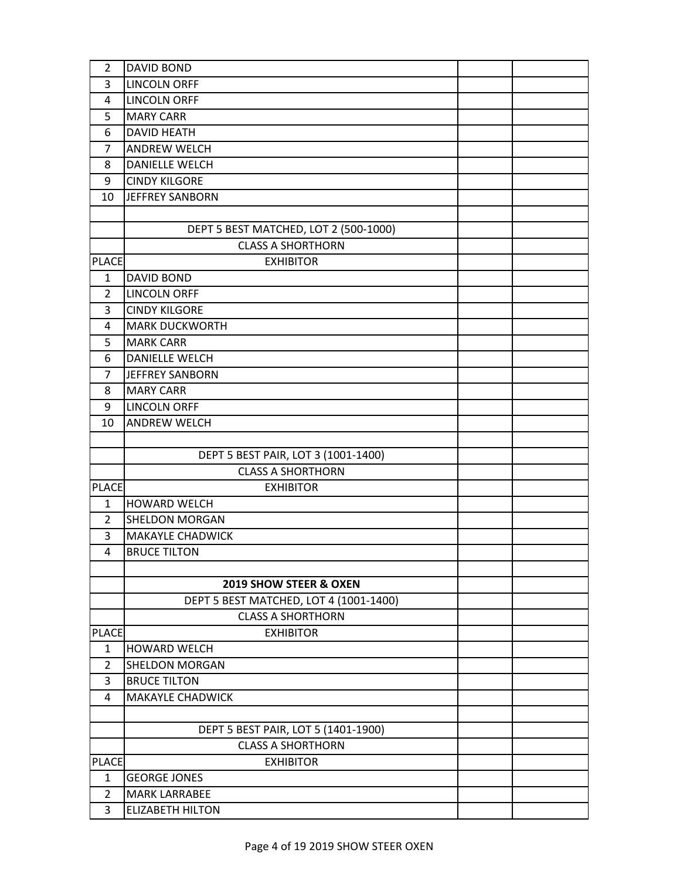| 2              | <b>DAVID BOND</b>                      |  |
|----------------|----------------------------------------|--|
| 3              | <b>LINCOLN ORFF</b>                    |  |
| 4              | <b>LINCOLN ORFF</b>                    |  |
| 5              | <b>MARY CARR</b>                       |  |
| 6              | <b>DAVID HEATH</b>                     |  |
| 7              | <b>ANDREW WELCH</b>                    |  |
| 8              | <b>DANIELLE WELCH</b>                  |  |
| 9              | <b>CINDY KILGORE</b>                   |  |
| 10             | <b>JEFFREY SANBORN</b>                 |  |
|                |                                        |  |
|                | DEPT 5 BEST MATCHED, LOT 2 (500-1000)  |  |
|                | <b>CLASS A SHORTHORN</b>               |  |
| <b>PLACE</b>   | <b>EXHIBITOR</b>                       |  |
| $\mathbf{1}$   | <b>DAVID BOND</b>                      |  |
| $\overline{2}$ | <b>LINCOLN ORFF</b>                    |  |
| 3              | <b>CINDY KILGORE</b>                   |  |
| 4              | <b>MARK DUCKWORTH</b>                  |  |
| 5              | <b>MARK CARR</b>                       |  |
| 6              | <b>DANIELLE WELCH</b>                  |  |
| $\overline{7}$ | <b>JEFFREY SANBORN</b>                 |  |
| 8              | <b>MARY CARR</b>                       |  |
| 9              | <b>LINCOLN ORFF</b>                    |  |
| 10             | <b>ANDREW WELCH</b>                    |  |
|                |                                        |  |
|                | DEPT 5 BEST PAIR, LOT 3 (1001-1400)    |  |
|                | <b>CLASS A SHORTHORN</b>               |  |
| <b>PLACE</b>   | <b>EXHIBITOR</b>                       |  |
| 1              | <b>HOWARD WELCH</b>                    |  |
| $\overline{2}$ | <b>SHELDON MORGAN</b>                  |  |
| 3              | <b>MAKAYLE CHADWICK</b>                |  |
| 4              | <b>BRUCE TILTON</b>                    |  |
|                |                                        |  |
|                | 2019 SHOW STEER & OXEN                 |  |
|                | DEPT 5 BEST MATCHED, LOT 4 (1001-1400) |  |
|                | <b>CLASS A SHORTHORN</b>               |  |
| <b>PLACE</b>   | <b>EXHIBITOR</b>                       |  |
| $\mathbf{1}$   | <b>HOWARD WELCH</b>                    |  |
| $\overline{2}$ | SHELDON MORGAN                         |  |
| 3              | <b>BRUCE TILTON</b>                    |  |
| 4              | <b>MAKAYLE CHADWICK</b>                |  |
|                |                                        |  |
|                | DEPT 5 BEST PAIR, LOT 5 (1401-1900)    |  |
|                | <b>CLASS A SHORTHORN</b>               |  |
| <b>PLACE</b>   | <b>EXHIBITOR</b>                       |  |
| $\mathbf{1}$   | <b>GEORGE JONES</b>                    |  |
| $\overline{2}$ | <b>MARK LARRABEE</b>                   |  |
| 3              | <b>ELIZABETH HILTON</b>                |  |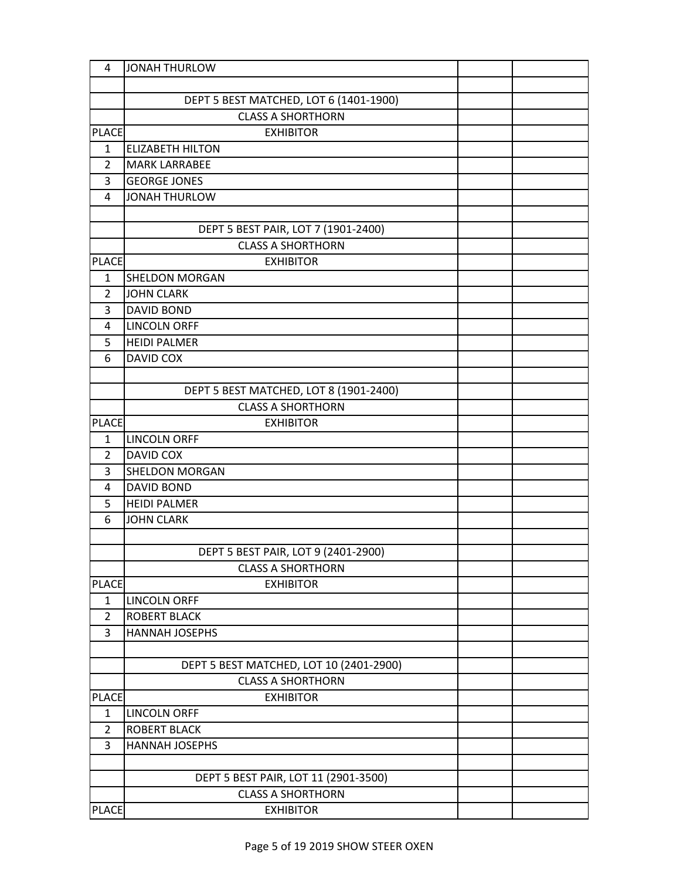| 4              | <b>JONAH THURLOW</b>                    |  |
|----------------|-----------------------------------------|--|
|                |                                         |  |
|                | DEPT 5 BEST MATCHED, LOT 6 (1401-1900)  |  |
|                | <b>CLASS A SHORTHORN</b>                |  |
| <b>PLACE</b>   | <b>EXHIBITOR</b>                        |  |
| $\mathbf{1}$   | <b>ELIZABETH HILTON</b>                 |  |
| $\overline{2}$ | <b>MARK LARRABEE</b>                    |  |
| 3              | <b>GEORGE JONES</b>                     |  |
| 4              | <b>JONAH THURLOW</b>                    |  |
|                |                                         |  |
|                | DEPT 5 BEST PAIR, LOT 7 (1901-2400)     |  |
|                | <b>CLASS A SHORTHORN</b>                |  |
| <b>PLACE</b>   | <b>EXHIBITOR</b>                        |  |
| $\mathbf{1}$   | <b>SHELDON MORGAN</b>                   |  |
| $\overline{2}$ | <b>JOHN CLARK</b>                       |  |
| 3              | <b>DAVID BOND</b>                       |  |
| 4              | <b>LINCOLN ORFF</b>                     |  |
| 5              | <b>HEIDI PALMER</b>                     |  |
| 6              | DAVID COX                               |  |
|                |                                         |  |
|                | DEPT 5 BEST MATCHED, LOT 8 (1901-2400)  |  |
|                | <b>CLASS A SHORTHORN</b>                |  |
| <b>PLACE</b>   | <b>EXHIBITOR</b>                        |  |
| $\mathbf{1}$   | <b>LINCOLN ORFF</b>                     |  |
| $\overline{2}$ | DAVID COX                               |  |
| 3              | <b>SHELDON MORGAN</b>                   |  |
| 4              | <b>DAVID BOND</b>                       |  |
| 5              | <b>HEIDI PALMER</b>                     |  |
| 6              | <b>JOHN CLARK</b>                       |  |
|                |                                         |  |
|                | DEPT 5 BEST PAIR, LOT 9 (2401-2900)     |  |
|                | <b>CLASS A SHORTHORN</b>                |  |
| <b>PLACE</b>   | <b>EXHIBITOR</b>                        |  |
| $\mathbf{1}$   | <b>LINCOLN ORFF</b>                     |  |
| $\overline{2}$ | <b>ROBERT BLACK</b>                     |  |
| 3              | <b>HANNAH JOSEPHS</b>                   |  |
|                |                                         |  |
|                | DEPT 5 BEST MATCHED, LOT 10 (2401-2900) |  |
|                | <b>CLASS A SHORTHORN</b>                |  |
| <b>PLACE</b>   | <b>EXHIBITOR</b>                        |  |
| 1              | <b>LINCOLN ORFF</b>                     |  |
| $\overline{2}$ | <b>ROBERT BLACK</b>                     |  |
| 3              | <b>HANNAH JOSEPHS</b>                   |  |
|                |                                         |  |
|                | DEPT 5 BEST PAIR, LOT 11 (2901-3500)    |  |
|                | <b>CLASS A SHORTHORN</b>                |  |
| <b>PLACE</b>   | <b>EXHIBITOR</b>                        |  |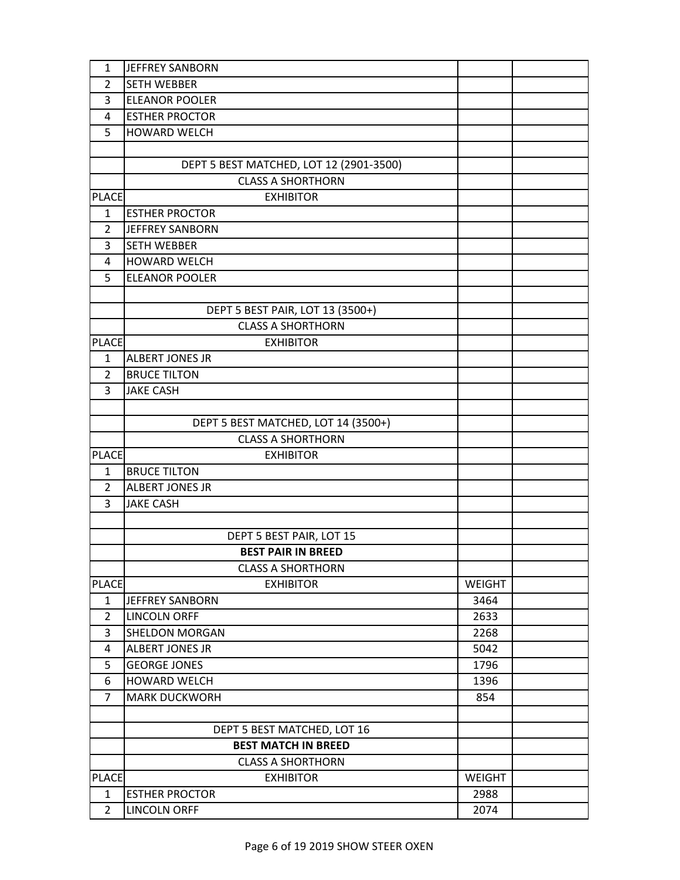| 1              | JEFFREY SANBORN                         |               |  |
|----------------|-----------------------------------------|---------------|--|
| 2              | <b>SETH WEBBER</b>                      |               |  |
| 3              | <b>ELEANOR POOLER</b>                   |               |  |
| 4              | <b>ESTHER PROCTOR</b>                   |               |  |
| 5              | HOWARD WELCH                            |               |  |
|                |                                         |               |  |
|                | DEPT 5 BEST MATCHED, LOT 12 (2901-3500) |               |  |
|                | <b>CLASS A SHORTHORN</b>                |               |  |
| <b>PLACE</b>   | <b>EXHIBITOR</b>                        |               |  |
| $\mathbf{1}$   | <b>ESTHER PROCTOR</b>                   |               |  |
| $\overline{2}$ | <b>JEFFREY SANBORN</b>                  |               |  |
| 3              | <b>SETH WEBBER</b>                      |               |  |
| 4              | HOWARD WELCH                            |               |  |
| 5              | <b>ELEANOR POOLER</b>                   |               |  |
|                |                                         |               |  |
|                | DEPT 5 BEST PAIR, LOT 13 (3500+)        |               |  |
|                | <b>CLASS A SHORTHORN</b>                |               |  |
| <b>PLACE</b>   | <b>EXHIBITOR</b>                        |               |  |
| $\mathbf{1}$   | <b>ALBERT JONES JR</b>                  |               |  |
| $\overline{2}$ | <b>BRUCE TILTON</b>                     |               |  |
| 3              | <b>JAKE CASH</b>                        |               |  |
|                |                                         |               |  |
|                | DEPT 5 BEST MATCHED, LOT 14 (3500+)     |               |  |
|                | <b>CLASS A SHORTHORN</b>                |               |  |
| <b>PLACE</b>   | <b>EXHIBITOR</b>                        |               |  |
| 1              | <b>BRUCE TILTON</b>                     |               |  |
| $\overline{2}$ | <b>ALBERT JONES JR</b>                  |               |  |
| 3              | <b>JAKE CASH</b>                        |               |  |
|                |                                         |               |  |
|                | DEPT 5 BEST PAIR, LOT 15                |               |  |
|                | <b>BEST PAIR IN BREED</b>               |               |  |
|                | <b>CLASS A SHORTHORN</b>                |               |  |
| <b>PLACE</b>   | <b>EXHIBITOR</b>                        | <b>WEIGHT</b> |  |
| 1              | <b>JEFFREY SANBORN</b>                  | 3464          |  |
| $\overline{2}$ | <b>LINCOLN ORFF</b>                     | 2633          |  |
| 3              | <b>SHELDON MORGAN</b>                   | 2268          |  |
| 4              | <b>ALBERT JONES JR</b>                  | 5042          |  |
| 5              | <b>GEORGE JONES</b>                     | 1796          |  |
| 6              | <b>HOWARD WELCH</b>                     | 1396          |  |
| 7              | <b>MARK DUCKWORH</b>                    | 854           |  |
|                |                                         |               |  |
|                | DEPT 5 BEST MATCHED, LOT 16             |               |  |
|                | <b>BEST MATCH IN BREED</b>              |               |  |
|                | <b>CLASS A SHORTHORN</b>                |               |  |
| <b>PLACE</b>   | <b>EXHIBITOR</b>                        | <b>WEIGHT</b> |  |
| $\mathbf{1}$   | <b>ESTHER PROCTOR</b>                   | 2988          |  |
| $\overline{2}$ | <b>LINCOLN ORFF</b>                     | 2074          |  |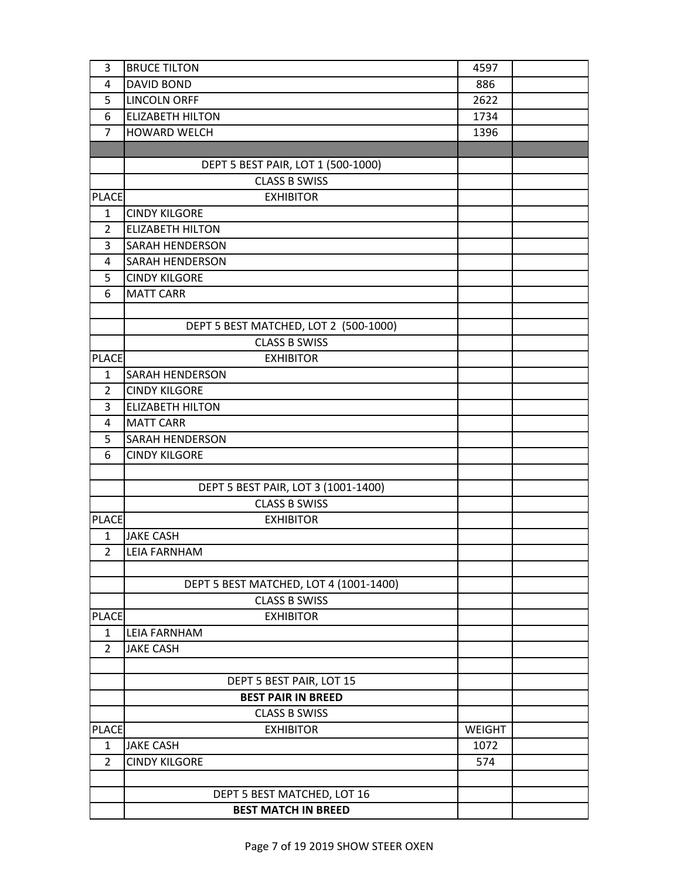| 3              | <b>BRUCE TILTON</b>                                   | 4597          |  |
|----------------|-------------------------------------------------------|---------------|--|
| 4              | <b>DAVID BOND</b>                                     | 886           |  |
| 5              | <b>LINCOLN ORFF</b>                                   | 2622          |  |
| 6              | <b>ELIZABETH HILTON</b>                               | 1734          |  |
| $\overline{7}$ | HOWARD WELCH                                          | 1396          |  |
|                |                                                       |               |  |
|                | DEPT 5 BEST PAIR, LOT 1 (500-1000)                    |               |  |
|                | <b>CLASS B SWISS</b>                                  |               |  |
| <b>PLACE</b>   | <b>EXHIBITOR</b>                                      |               |  |
| $\mathbf{1}$   | <b>CINDY KILGORE</b>                                  |               |  |
| $\overline{2}$ | <b>ELIZABETH HILTON</b>                               |               |  |
| 3              | <b>SARAH HENDERSON</b>                                |               |  |
| 4              | <b>SARAH HENDERSON</b>                                |               |  |
| 5              | <b>CINDY KILGORE</b>                                  |               |  |
| 6              | <b>MATT CARR</b>                                      |               |  |
|                |                                                       |               |  |
|                | DEPT 5 BEST MATCHED, LOT 2 (500-1000)                 |               |  |
|                | <b>CLASS B SWISS</b>                                  |               |  |
| <b>PLACE</b>   | <b>EXHIBITOR</b>                                      |               |  |
| $\mathbf{1}$   | <b>SARAH HENDERSON</b>                                |               |  |
| $\overline{2}$ | <b>CINDY KILGORE</b>                                  |               |  |
| 3              | <b>ELIZABETH HILTON</b>                               |               |  |
| 4              | <b>MATT CARR</b>                                      |               |  |
| 5              | <b>SARAH HENDERSON</b>                                |               |  |
| 6              | <b>CINDY KILGORE</b>                                  |               |  |
|                |                                                       |               |  |
|                | DEPT 5 BEST PAIR, LOT 3 (1001-1400)                   |               |  |
|                | <b>CLASS B SWISS</b>                                  |               |  |
| <b>PLACE</b>   | <b>EXHIBITOR</b>                                      |               |  |
| 1              | <b>JAKE CASH</b>                                      |               |  |
| $\overline{2}$ | <b>LEIA FARNHAM</b>                                   |               |  |
|                |                                                       |               |  |
|                | DEPT 5 BEST MATCHED, LOT 4 (1001-1400)                |               |  |
|                | <b>CLASS B SWISS</b>                                  |               |  |
| <b>PLACE</b>   | <b>EXHIBITOR</b>                                      |               |  |
| $\mathbf{1}$   | <b>LEIA FARNHAM</b>                                   |               |  |
| $\overline{2}$ | <b>JAKE CASH</b>                                      |               |  |
|                |                                                       |               |  |
|                | DEPT 5 BEST PAIR, LOT 15<br><b>BEST PAIR IN BREED</b> |               |  |
|                |                                                       |               |  |
|                | <b>CLASS B SWISS</b>                                  |               |  |
| <b>PLACE</b>   | <b>EXHIBITOR</b><br><b>JAKE CASH</b>                  | <b>WEIGHT</b> |  |
| $\mathbf{1}$   |                                                       | 1072          |  |
| $\overline{2}$ | <b>CINDY KILGORE</b>                                  | 574           |  |
|                |                                                       |               |  |
|                | DEPT 5 BEST MATCHED, LOT 16                           |               |  |
|                | <b>BEST MATCH IN BREED</b>                            |               |  |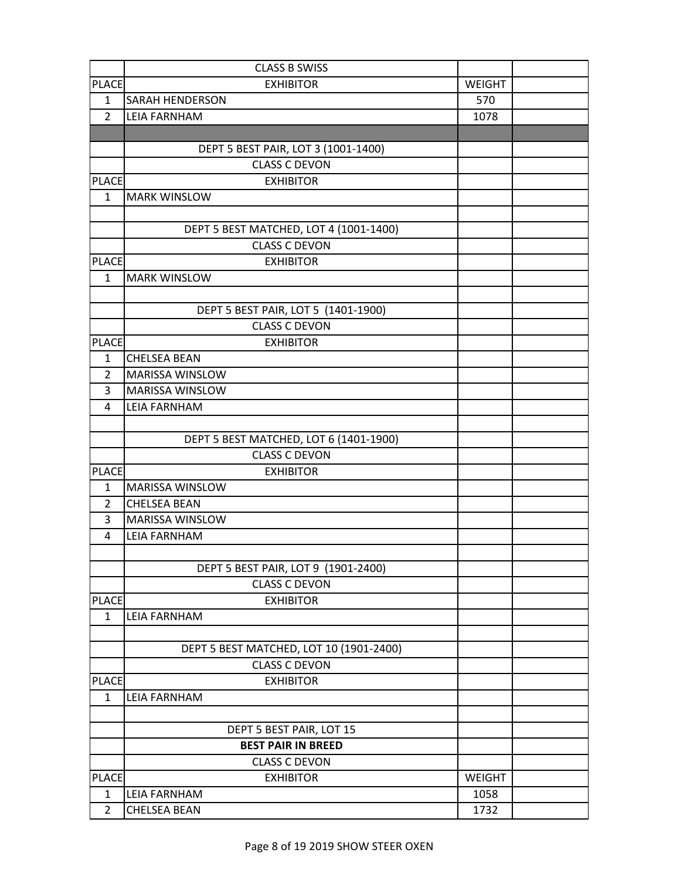|                | <b>CLASS B SWISS</b>                    |               |  |
|----------------|-----------------------------------------|---------------|--|
| <b>PLACE</b>   | <b>EXHIBITOR</b>                        | <b>WEIGHT</b> |  |
| $\mathbf{1}$   | <b>SARAH HENDERSON</b>                  | 570           |  |
| $\overline{2}$ | <b>LEIA FARNHAM</b>                     | 1078          |  |
|                |                                         |               |  |
|                | DEPT 5 BEST PAIR, LOT 3 (1001-1400)     |               |  |
|                | <b>CLASS C DEVON</b>                    |               |  |
| <b>PLACE</b>   | <b>EXHIBITOR</b>                        |               |  |
| $\mathbf{1}$   | <b>MARK WINSLOW</b>                     |               |  |
|                |                                         |               |  |
|                | DEPT 5 BEST MATCHED, LOT 4 (1001-1400)  |               |  |
|                | <b>CLASS C DEVON</b>                    |               |  |
| <b>PLACE</b>   | <b>EXHIBITOR</b>                        |               |  |
| $\mathbf{1}$   | <b>MARK WINSLOW</b>                     |               |  |
|                |                                         |               |  |
|                | DEPT 5 BEST PAIR, LOT 5 (1401-1900)     |               |  |
|                | <b>CLASS C DEVON</b>                    |               |  |
| <b>PLACE</b>   | <b>EXHIBITOR</b>                        |               |  |
| $\mathbf{1}$   | <b>CHELSEA BEAN</b>                     |               |  |
| $\overline{2}$ | MARISSA WINSLOW                         |               |  |
| 3              | MARISSA WINSLOW                         |               |  |
| 4              | <b>LEIA FARNHAM</b>                     |               |  |
|                |                                         |               |  |
|                | DEPT 5 BEST MATCHED, LOT 6 (1401-1900)  |               |  |
|                | <b>CLASS C DEVON</b>                    |               |  |
| <b>PLACE</b>   | <b>EXHIBITOR</b>                        |               |  |
| 1              | MARISSA WINSLOW                         |               |  |
| 2              | <b>CHELSEA BEAN</b>                     |               |  |
| 3              | MARISSA WINSLOW                         |               |  |
| 4              | <b>LEIA FARNHAM</b>                     |               |  |
|                |                                         |               |  |
|                | DEPT 5 BEST PAIR, LOT 9 (1901-2400)     |               |  |
|                | <b>CLASS C DEVON</b>                    |               |  |
| <b>PLACE</b>   | <b>EXHIBITOR</b>                        |               |  |
| 1              | <b>LEIA FARNHAM</b>                     |               |  |
|                |                                         |               |  |
|                | DEPT 5 BEST MATCHED, LOT 10 (1901-2400) |               |  |
|                | <b>CLASS C DEVON</b>                    |               |  |
| <b>PLACE</b>   | <b>EXHIBITOR</b>                        |               |  |
| $\mathbf{1}$   | <b>LEIA FARNHAM</b>                     |               |  |
|                |                                         |               |  |
|                | DEPT 5 BEST PAIR, LOT 15                |               |  |
|                | <b>BEST PAIR IN BREED</b>               |               |  |
|                | <b>CLASS C DEVON</b>                    |               |  |
| <b>PLACE</b>   | <b>EXHIBITOR</b>                        | <b>WEIGHT</b> |  |
| $\mathbf{1}$   | <b>LEIA FARNHAM</b>                     | 1058          |  |
| $\overline{2}$ | <b>CHELSEA BEAN</b>                     | 1732          |  |
|                |                                         |               |  |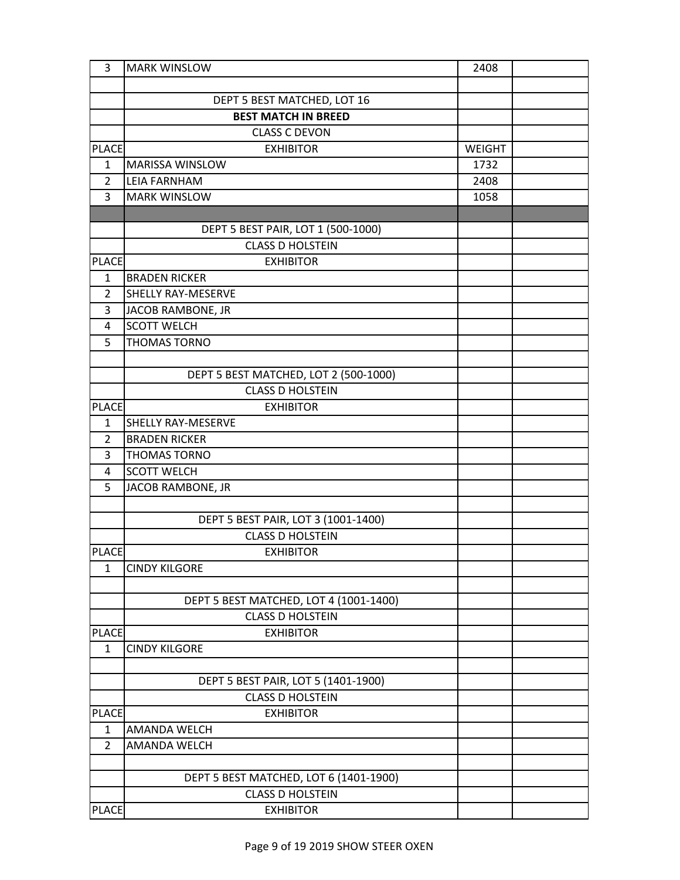| 3              | <b>MARK WINSLOW</b>                    | 2408          |  |
|----------------|----------------------------------------|---------------|--|
|                |                                        |               |  |
|                | DEPT 5 BEST MATCHED, LOT 16            |               |  |
|                | <b>BEST MATCH IN BREED</b>             |               |  |
|                | <b>CLASS C DEVON</b>                   |               |  |
| <b>PLACE</b>   | <b>EXHIBITOR</b>                       | <b>WEIGHT</b> |  |
| $\mathbf{1}$   | <b>MARISSA WINSLOW</b>                 | 1732          |  |
| $\overline{2}$ | <b>LEIA FARNHAM</b>                    | 2408          |  |
| 3              | <b>MARK WINSLOW</b>                    | 1058          |  |
|                |                                        |               |  |
|                | DEPT 5 BEST PAIR, LOT 1 (500-1000)     |               |  |
|                | <b>CLASS D HOLSTEIN</b>                |               |  |
| <b>PLACE</b>   | <b>EXHIBITOR</b>                       |               |  |
| $\mathbf{1}$   | <b>BRADEN RICKER</b>                   |               |  |
| $\overline{2}$ | SHELLY RAY-MESERVE                     |               |  |
| 3              | JACOB RAMBONE, JR                      |               |  |
| 4              | <b>SCOTT WELCH</b>                     |               |  |
| 5              | <b>THOMAS TORNO</b>                    |               |  |
|                |                                        |               |  |
|                | DEPT 5 BEST MATCHED, LOT 2 (500-1000)  |               |  |
|                | <b>CLASS D HOLSTEIN</b>                |               |  |
| <b>PLACE</b>   | <b>EXHIBITOR</b>                       |               |  |
| 1              | SHELLY RAY-MESERVE                     |               |  |
| $\overline{2}$ | <b>BRADEN RICKER</b>                   |               |  |
| 3              | <b>THOMAS TORNO</b>                    |               |  |
| 4              | <b>SCOTT WELCH</b>                     |               |  |
| 5              | JACOB RAMBONE, JR                      |               |  |
|                |                                        |               |  |
|                | DEPT 5 BEST PAIR, LOT 3 (1001-1400)    |               |  |
|                | <b>CLASS D HOLSTEIN</b>                |               |  |
| <b>PLACE</b>   | <b>EXHIBITOR</b>                       |               |  |
| $\mathbf{1}$   | <b>CINDY KILGORE</b>                   |               |  |
|                | DEPT 5 BEST MATCHED, LOT 4 (1001-1400) |               |  |
|                | <b>CLASS D HOLSTEIN</b>                |               |  |
| <b>PLACE</b>   | <b>EXHIBITOR</b>                       |               |  |
| $\mathbf{1}$   | <b>CINDY KILGORE</b>                   |               |  |
|                |                                        |               |  |
|                | DEPT 5 BEST PAIR, LOT 5 (1401-1900)    |               |  |
|                | <b>CLASS D HOLSTEIN</b>                |               |  |
| <b>PLACE</b>   | <b>EXHIBITOR</b>                       |               |  |
| $\mathbf{1}$   | AMANDA WELCH                           |               |  |
| $\overline{2}$ | <b>AMANDA WELCH</b>                    |               |  |
|                |                                        |               |  |
|                | DEPT 5 BEST MATCHED, LOT 6 (1401-1900) |               |  |
|                | <b>CLASS D HOLSTEIN</b>                |               |  |
| <b>PLACE</b>   | <b>EXHIBITOR</b>                       |               |  |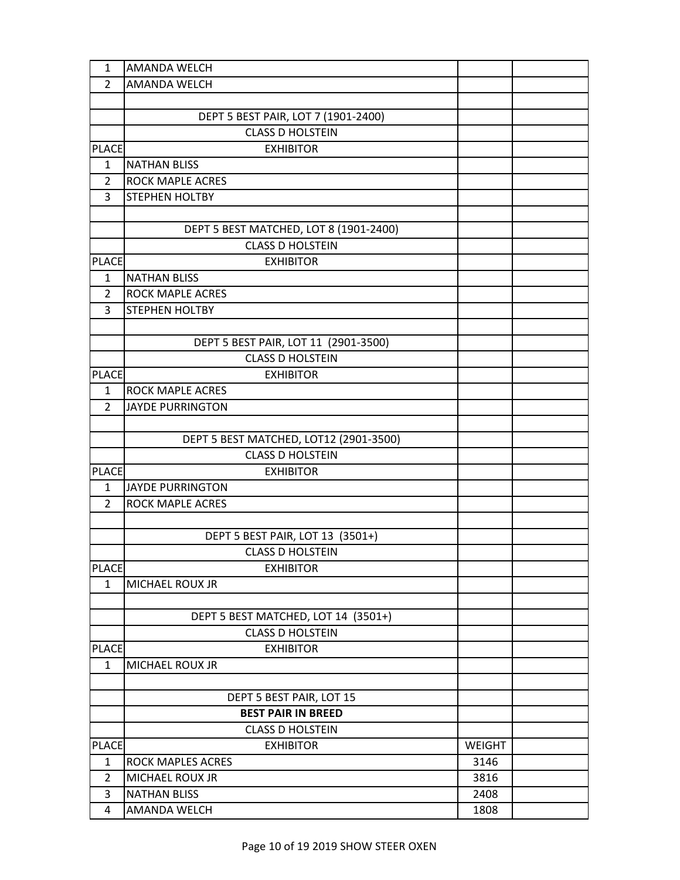| 1              | <b>AMANDA WELCH</b>                    |               |  |
|----------------|----------------------------------------|---------------|--|
| $\overline{2}$ | <b>AMANDA WELCH</b>                    |               |  |
|                |                                        |               |  |
|                | DEPT 5 BEST PAIR, LOT 7 (1901-2400)    |               |  |
|                | <b>CLASS D HOLSTEIN</b>                |               |  |
| <b>PLACE</b>   | <b>EXHIBITOR</b>                       |               |  |
| 1              | <b>NATHAN BLISS</b>                    |               |  |
| $\overline{2}$ | <b>ROCK MAPLE ACRES</b>                |               |  |
| 3              | STEPHEN HOLTBY                         |               |  |
|                |                                        |               |  |
|                | DEPT 5 BEST MATCHED, LOT 8 (1901-2400) |               |  |
|                | <b>CLASS D HOLSTEIN</b>                |               |  |
| <b>PLACE</b>   | <b>EXHIBITOR</b>                       |               |  |
| $\mathbf{1}$   | <b>NATHAN BLISS</b>                    |               |  |
| 2              | <b>ROCK MAPLE ACRES</b>                |               |  |
| 3              | STEPHEN HOLTBY                         |               |  |
|                |                                        |               |  |
|                | DEPT 5 BEST PAIR, LOT 11 (2901-3500)   |               |  |
|                | <b>CLASS D HOLSTEIN</b>                |               |  |
| <b>PLACE</b>   | <b>EXHIBITOR</b>                       |               |  |
| 1              | <b>ROCK MAPLE ACRES</b>                |               |  |
| $\overline{2}$ | <b>JAYDE PURRINGTON</b>                |               |  |
|                |                                        |               |  |
|                | DEPT 5 BEST MATCHED, LOT12 (2901-3500) |               |  |
|                | <b>CLASS D HOLSTEIN</b>                |               |  |
| <b>PLACE</b>   | <b>EXHIBITOR</b>                       |               |  |
| $\mathbf{1}$   | <b>JAYDE PURRINGTON</b>                |               |  |
| $\overline{2}$ | <b>ROCK MAPLE ACRES</b>                |               |  |
|                |                                        |               |  |
|                | DEPT 5 BEST PAIR, LOT 13 (3501+)       |               |  |
|                | <b>CLASS D HOLSTEIN</b>                |               |  |
| <b>PLACE</b>   | <b>EXHIBITOR</b>                       |               |  |
| $\mathbf{1}$   | <b>MICHAEL ROUX JR</b>                 |               |  |
|                |                                        |               |  |
|                | DEPT 5 BEST MATCHED, LOT 14 (3501+)    |               |  |
|                | <b>CLASS D HOLSTEIN</b>                |               |  |
| <b>PLACE</b>   | <b>EXHIBITOR</b>                       |               |  |
| $\mathbf{1}$   | MICHAEL ROUX JR                        |               |  |
|                |                                        |               |  |
|                | DEPT 5 BEST PAIR, LOT 15               |               |  |
|                | <b>BEST PAIR IN BREED</b>              |               |  |
|                | <b>CLASS D HOLSTEIN</b>                |               |  |
| <b>PLACE</b>   | <b>EXHIBITOR</b>                       | <b>WEIGHT</b> |  |
| $\mathbf{1}$   | ROCK MAPLES ACRES                      | 3146          |  |
| $\overline{2}$ | MICHAEL ROUX JR                        | 3816          |  |
| 3              | <b>NATHAN BLISS</b>                    | 2408          |  |
| 4              | AMANDA WELCH                           | 1808          |  |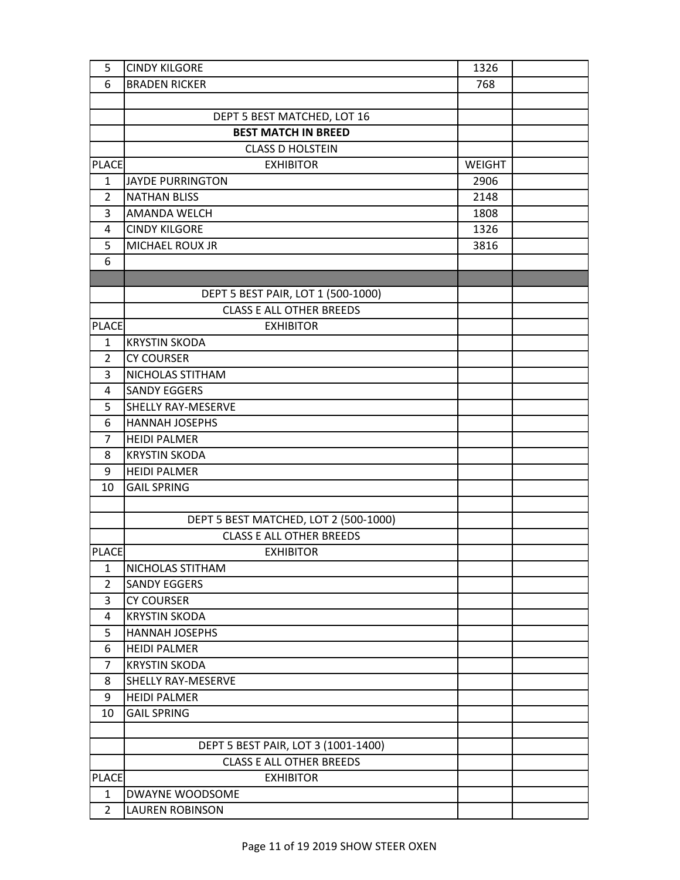| 5              | <b>CINDY KILGORE</b>                  | 1326          |  |
|----------------|---------------------------------------|---------------|--|
| 6              | <b>BRADEN RICKER</b>                  | 768           |  |
|                |                                       |               |  |
|                | DEPT 5 BEST MATCHED, LOT 16           |               |  |
|                | <b>BEST MATCH IN BREED</b>            |               |  |
|                | <b>CLASS D HOLSTEIN</b>               |               |  |
| <b>PLACE</b>   | <b>EXHIBITOR</b>                      | <b>WEIGHT</b> |  |
| $\mathbf{1}$   | JAYDE PURRINGTON                      | 2906          |  |
| 2              | <b>NATHAN BLISS</b>                   | 2148          |  |
| 3              | <b>AMANDA WELCH</b>                   | 1808          |  |
| 4              | <b>CINDY KILGORE</b>                  | 1326          |  |
| 5              | MICHAEL ROUX JR                       | 3816          |  |
| 6              |                                       |               |  |
|                |                                       |               |  |
|                | DEPT 5 BEST PAIR, LOT 1 (500-1000)    |               |  |
|                | <b>CLASS E ALL OTHER BREEDS</b>       |               |  |
| <b>PLACE</b>   | <b>EXHIBITOR</b>                      |               |  |
| $\mathbf{1}$   | <b>KRYSTIN SKODA</b>                  |               |  |
| 2              | <b>CY COURSER</b>                     |               |  |
| 3              | NICHOLAS STITHAM                      |               |  |
| 4              | <b>SANDY EGGERS</b>                   |               |  |
| 5              | <b>SHELLY RAY-MESERVE</b>             |               |  |
| 6              | <b>HANNAH JOSEPHS</b>                 |               |  |
| $\overline{7}$ | <b>HEIDI PALMER</b>                   |               |  |
| 8              | <b>KRYSTIN SKODA</b>                  |               |  |
| 9              | <b>HEIDI PALMER</b>                   |               |  |
| 10             | <b>GAIL SPRING</b>                    |               |  |
|                |                                       |               |  |
|                | DEPT 5 BEST MATCHED, LOT 2 (500-1000) |               |  |
|                | <b>CLASS E ALL OTHER BREEDS</b>       |               |  |
| <b>PLACE</b>   | <b>EXHIBITOR</b>                      |               |  |
| 1              | NICHOLAS STITHAM                      |               |  |
| $\overline{2}$ | <b>SANDY EGGERS</b>                   |               |  |
| 3              | <b>CY COURSER</b>                     |               |  |
| 4              | <b>KRYSTIN SKODA</b>                  |               |  |
| 5              | <b>HANNAH JOSEPHS</b>                 |               |  |
| 6              | <b>HEIDI PALMER</b>                   |               |  |
| 7              | <b>KRYSTIN SKODA</b>                  |               |  |
| 8              | <b>SHELLY RAY-MESERVE</b>             |               |  |
| 9              | <b>HEIDI PALMER</b>                   |               |  |
| 10             | <b>GAIL SPRING</b>                    |               |  |
|                |                                       |               |  |
|                | DEPT 5 BEST PAIR, LOT 3 (1001-1400)   |               |  |
|                | <b>CLASS E ALL OTHER BREEDS</b>       |               |  |
| <b>PLACE</b>   | <b>EXHIBITOR</b>                      |               |  |
| $\mathbf{1}$   | DWAYNE WOODSOME                       |               |  |
| $\overline{2}$ | <b>LAUREN ROBINSON</b>                |               |  |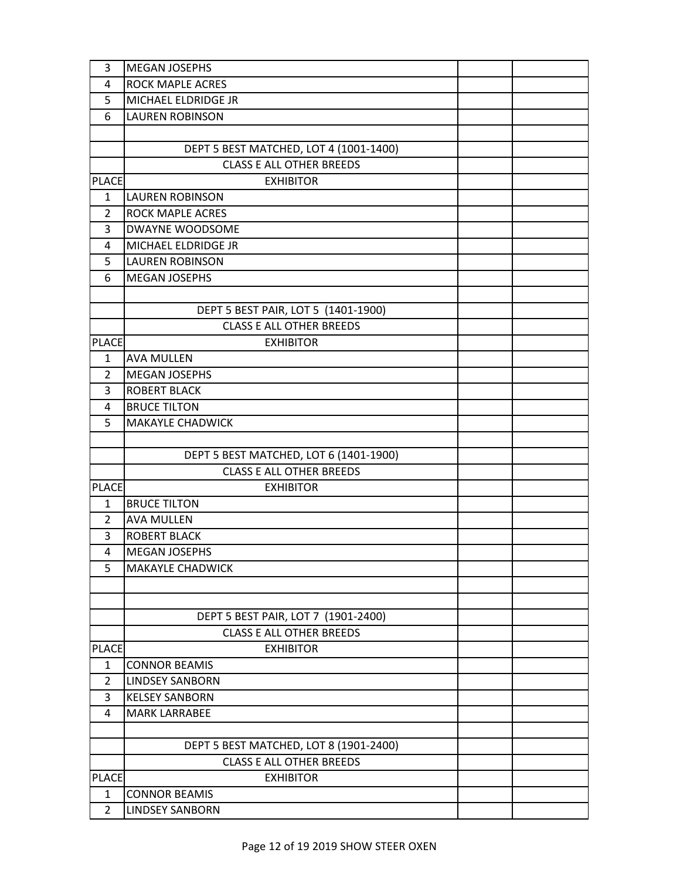| 3              | <b>MEGAN JOSEPHS</b>                   |  |
|----------------|----------------------------------------|--|
| 4              | <b>ROCK MAPLE ACRES</b>                |  |
| 5              | MICHAEL ELDRIDGE JR                    |  |
| 6              | <b>LAUREN ROBINSON</b>                 |  |
|                |                                        |  |
|                | DEPT 5 BEST MATCHED, LOT 4 (1001-1400) |  |
|                | <b>CLASS E ALL OTHER BREEDS</b>        |  |
| <b>PLACE</b>   | <b>EXHIBITOR</b>                       |  |
| 1              | <b>LAUREN ROBINSON</b>                 |  |
| $\overline{2}$ | <b>ROCK MAPLE ACRES</b>                |  |
| 3              | DWAYNE WOODSOME                        |  |
| 4              | MICHAEL ELDRIDGE JR                    |  |
| 5              | <b>LAUREN ROBINSON</b>                 |  |
| 6              | <b>MEGAN JOSEPHS</b>                   |  |
|                |                                        |  |
|                | DEPT 5 BEST PAIR, LOT 5 (1401-1900)    |  |
|                | <b>CLASS E ALL OTHER BREEDS</b>        |  |
| <b>PLACE</b>   | <b>EXHIBITOR</b>                       |  |
| $\mathbf{1}$   | <b>AVA MULLEN</b>                      |  |
| $\overline{2}$ | <b>MEGAN JOSEPHS</b>                   |  |
| 3              | <b>ROBERT BLACK</b>                    |  |
| 4              | <b>BRUCE TILTON</b>                    |  |
| 5              | <b>MAKAYLE CHADWICK</b>                |  |
|                |                                        |  |
|                | DEPT 5 BEST MATCHED, LOT 6 (1401-1900) |  |
|                | <b>CLASS E ALL OTHER BREEDS</b>        |  |
| <b>PLACE</b>   | <b>EXHIBITOR</b>                       |  |
| 1              | <b>BRUCE TILTON</b>                    |  |
| $\overline{2}$ | <b>AVA MULLEN</b>                      |  |
| 3              | <b>ROBERT BLACK</b>                    |  |
| 4              | <b>MEGAN JOSEPHS</b>                   |  |
| 5              | <b>MAKAYLE CHADWICK</b>                |  |
|                |                                        |  |
|                |                                        |  |
|                | DEPT 5 BEST PAIR, LOT 7 (1901-2400)    |  |
|                | <b>CLASS E ALL OTHER BREEDS</b>        |  |
| <b>PLACE</b>   | <b>EXHIBITOR</b>                       |  |
| $\mathbf{1}$   | <b>CONNOR BEAMIS</b>                   |  |
| $\overline{2}$ | <b>LINDSEY SANBORN</b>                 |  |
| 3              | <b>KELSEY SANBORN</b>                  |  |
| 4              | <b>MARK LARRABEE</b>                   |  |
|                |                                        |  |
|                | DEPT 5 BEST MATCHED, LOT 8 (1901-2400) |  |
|                | <b>CLASS E ALL OTHER BREEDS</b>        |  |
| <b>PLACE</b>   | <b>EXHIBITOR</b>                       |  |
| $\mathbf{1}$   | <b>CONNOR BEAMIS</b>                   |  |
| $\overline{2}$ | <b>LINDSEY SANBORN</b>                 |  |
|                |                                        |  |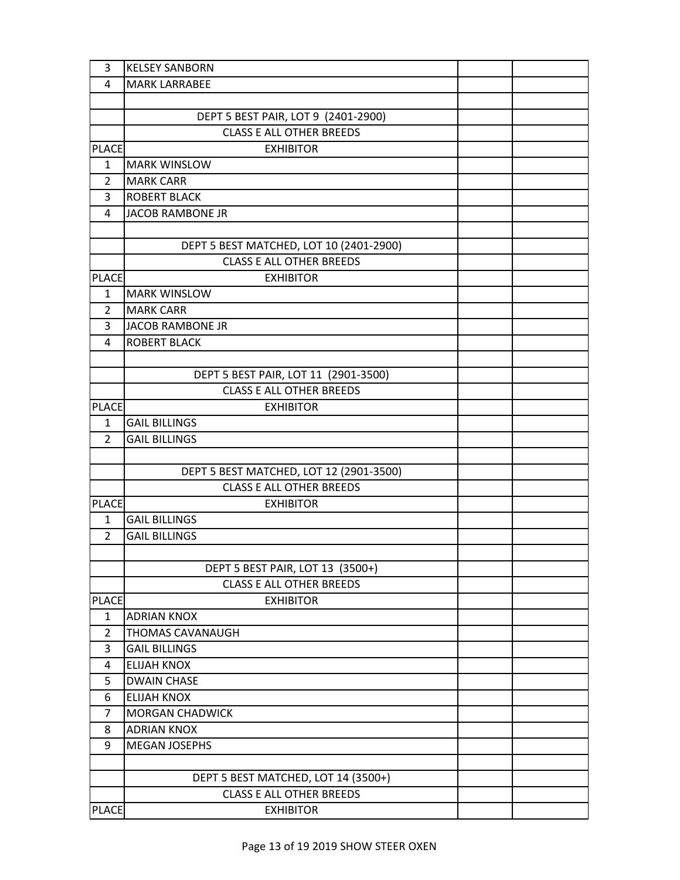| 3              | <b>KELSEY SANBORN</b>                   |  |
|----------------|-----------------------------------------|--|
| 4              | <b>MARK LARRABEE</b>                    |  |
|                |                                         |  |
|                | DEPT 5 BEST PAIR, LOT 9 (2401-2900)     |  |
|                | <b>CLASS E ALL OTHER BREEDS</b>         |  |
| <b>PLACE</b>   | <b>EXHIBITOR</b>                        |  |
| $\mathbf{1}$   | <b>MARK WINSLOW</b>                     |  |
| $\overline{2}$ | <b>MARK CARR</b>                        |  |
| 3              | <b>ROBERT BLACK</b>                     |  |
| 4              | <b>JACOB RAMBONE JR</b>                 |  |
|                |                                         |  |
|                | DEPT 5 BEST MATCHED, LOT 10 (2401-2900) |  |
|                | <b>CLASS E ALL OTHER BREEDS</b>         |  |
| <b>PLACE</b>   | <b>EXHIBITOR</b>                        |  |
| $\mathbf{1}$   | <b>MARK WINSLOW</b>                     |  |
| $\overline{2}$ | <b>MARK CARR</b>                        |  |
| 3              | <b>JACOB RAMBONE JR</b>                 |  |
| 4              | <b>ROBERT BLACK</b>                     |  |
|                |                                         |  |
|                | DEPT 5 BEST PAIR, LOT 11 (2901-3500)    |  |
|                | <b>CLASS E ALL OTHER BREEDS</b>         |  |
| <b>PLACE</b>   | <b>EXHIBITOR</b>                        |  |
| 1              | <b>GAIL BILLINGS</b>                    |  |
| $\overline{2}$ | <b>GAIL BILLINGS</b>                    |  |
|                |                                         |  |
|                | DEPT 5 BEST MATCHED, LOT 12 (2901-3500) |  |
|                | <b>CLASS E ALL OTHER BREEDS</b>         |  |
| <b>PLACE</b>   | <b>EXHIBITOR</b>                        |  |
| $\mathbf{1}$   | <b>GAIL BILLINGS</b>                    |  |
| $\overline{2}$ | <b>GAIL BILLINGS</b>                    |  |
|                |                                         |  |
|                | DEPT 5 BEST PAIR, LOT 13 (3500+)        |  |
|                | <b>CLASS E ALL OTHER BREEDS</b>         |  |
| <b>PLACE</b>   | <b>EXHIBITOR</b>                        |  |
| $\mathbf{1}$   | <b>ADRIAN KNOX</b>                      |  |
| $\overline{2}$ | <b>THOMAS CAVANAUGH</b>                 |  |
| 3              | <b>GAIL BILLINGS</b>                    |  |
| 4              | <b>ELIJAH KNOX</b>                      |  |
| 5              | <b>DWAIN CHASE</b>                      |  |
| 6              | <b>ELIJAH KNOX</b>                      |  |
| $\overline{7}$ | <b>MORGAN CHADWICK</b>                  |  |
| 8              | <b>ADRIAN KNOX</b>                      |  |
| 9              | MEGAN JOSEPHS                           |  |
|                |                                         |  |
|                | DEPT 5 BEST MATCHED, LOT 14 (3500+)     |  |
|                | <b>CLASS E ALL OTHER BREEDS</b>         |  |
| <b>PLACE</b>   | <b>EXHIBITOR</b>                        |  |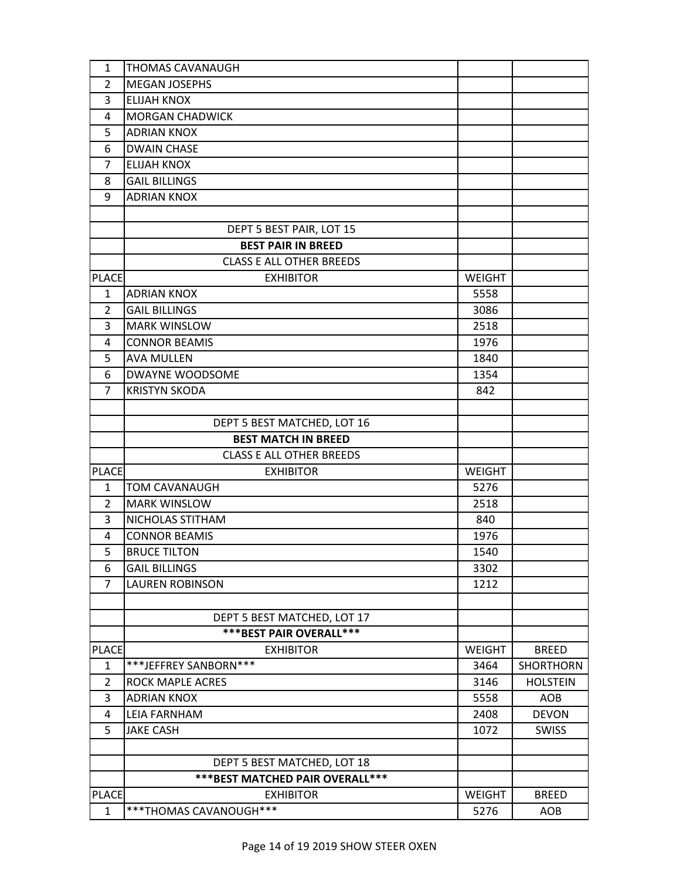| $\mathbf{1}$ | <b>THOMAS CAVANAUGH</b>           |               |                  |
|--------------|-----------------------------------|---------------|------------------|
| 2            | <b>MEGAN JOSEPHS</b>              |               |                  |
| 3            | <b>ELIJAH KNOX</b>                |               |                  |
| 4            | <b>MORGAN CHADWICK</b>            |               |                  |
| 5            | <b>ADRIAN KNOX</b>                |               |                  |
| 6            | <b>DWAIN CHASE</b>                |               |                  |
| 7            | <b>ELIJAH KNOX</b>                |               |                  |
| 8            | <b>GAIL BILLINGS</b>              |               |                  |
| 9            | <b>ADRIAN KNOX</b>                |               |                  |
|              |                                   |               |                  |
|              | DEPT 5 BEST PAIR, LOT 15          |               |                  |
|              | <b>BEST PAIR IN BREED</b>         |               |                  |
|              | <b>CLASS E ALL OTHER BREEDS</b>   |               |                  |
| <b>PLACE</b> | <b>EXHIBITOR</b>                  | <b>WEIGHT</b> |                  |
| $\mathbf{1}$ | <b>ADRIAN KNOX</b>                | 5558          |                  |
| 2            | <b>GAIL BILLINGS</b>              | 3086          |                  |
| 3            | <b>MARK WINSLOW</b>               | 2518          |                  |
| 4            | <b>CONNOR BEAMIS</b>              | 1976          |                  |
| 5            | <b>AVA MULLEN</b>                 | 1840          |                  |
| 6            | DWAYNE WOODSOME                   | 1354          |                  |
| 7            | <b>KRISTYN SKODA</b>              | 842           |                  |
|              |                                   |               |                  |
|              | DEPT 5 BEST MATCHED, LOT 16       |               |                  |
|              | <b>BEST MATCH IN BREED</b>        |               |                  |
|              | <b>CLASS E ALL OTHER BREEDS</b>   |               |                  |
| <b>PLACE</b> | <b>EXHIBITOR</b>                  | <b>WEIGHT</b> |                  |
| $\mathbf{1}$ | <b>TOM CAVANAUGH</b>              | 5276          |                  |
| 2            | <b>MARK WINSLOW</b>               | 2518          |                  |
| 3            | NICHOLAS STITHAM                  | 840           |                  |
| 4            | <b>CONNOR BEAMIS</b>              | 1976          |                  |
| 5            | <b>BRUCE TILTON</b>               | 1540          |                  |
| 6            | <b>GAIL BILLINGS</b>              | 3302          |                  |
| 7            | <b>LAUREN ROBINSON</b>            | 1212          |                  |
|              |                                   |               |                  |
|              | DEPT 5 BEST MATCHED, LOT 17       |               |                  |
|              | *** BEST PAIR OVERALL ***         |               |                  |
| <b>PLACE</b> | <b>EXHIBITOR</b>                  | <b>WEIGHT</b> | <b>BREED</b>     |
| $\mathbf{1}$ | ***JEFFREY SANBORN***             | 3464          | <b>SHORTHORN</b> |
| 2            | <b>ROCK MAPLE ACRES</b>           | 3146          | <b>HOLSTEIN</b>  |
| 3            | <b>ADRIAN KNOX</b>                | 5558          | <b>AOB</b>       |
| 4            | <b>LEIA FARNHAM</b>               | 2408          | <b>DEVON</b>     |
| 5            | <b>JAKE CASH</b>                  | 1072          | <b>SWISS</b>     |
|              |                                   |               |                  |
|              | DEPT 5 BEST MATCHED, LOT 18       |               |                  |
|              | *** BEST MATCHED PAIR OVERALL *** |               |                  |
| <b>PLACE</b> | <b>EXHIBITOR</b>                  | <b>WEIGHT</b> | <b>BREED</b>     |
| $\mathbf{1}$ | ***THOMAS CAVANOUGH***            | 5276          | AOB              |
|              |                                   |               |                  |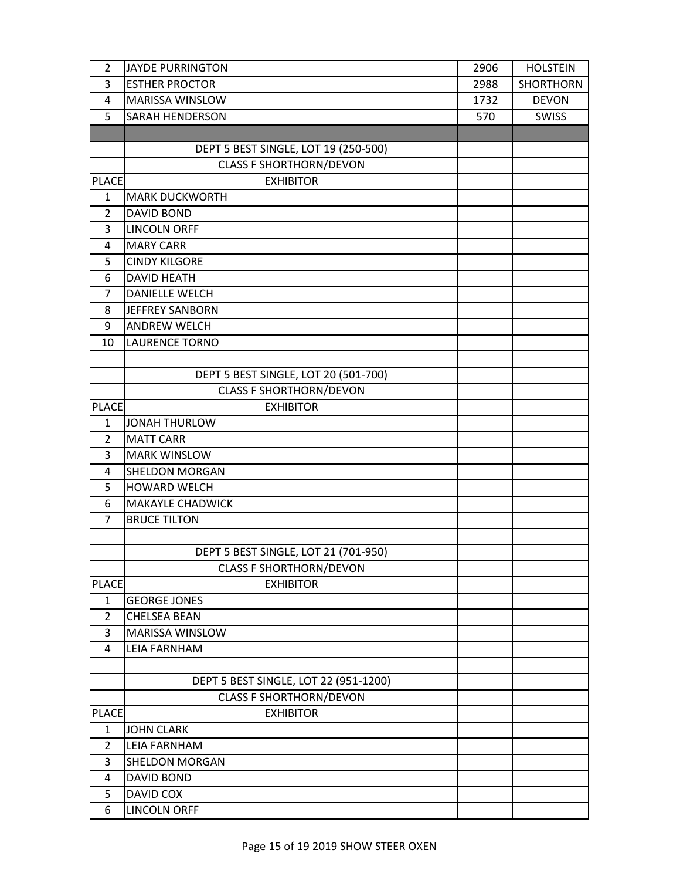| $\overline{2}$ | <b>JAYDE PURRINGTON</b>               | 2906 | <b>HOLSTEIN</b>  |
|----------------|---------------------------------------|------|------------------|
| 3              | <b>ESTHER PROCTOR</b>                 | 2988 | <b>SHORTHORN</b> |
| 4              | MARISSA WINSLOW                       | 1732 | <b>DEVON</b>     |
| 5              | <b>SARAH HENDERSON</b>                | 570  | SWISS            |
|                |                                       |      |                  |
|                | DEPT 5 BEST SINGLE, LOT 19 (250-500)  |      |                  |
|                | <b>CLASS F SHORTHORN/DEVON</b>        |      |                  |
| <b>PLACE</b>   | <b>EXHIBITOR</b>                      |      |                  |
| 1              | <b>MARK DUCKWORTH</b>                 |      |                  |
| $\overline{2}$ | <b>DAVID BOND</b>                     |      |                  |
| 3              | <b>LINCOLN ORFF</b>                   |      |                  |
| 4              | <b>MARY CARR</b>                      |      |                  |
| 5              | <b>CINDY KILGORE</b>                  |      |                  |
| 6              | <b>DAVID HEATH</b>                    |      |                  |
| $\overline{7}$ | <b>DANIELLE WELCH</b>                 |      |                  |
| 8              | <b>JEFFREY SANBORN</b>                |      |                  |
| 9              | <b>ANDREW WELCH</b>                   |      |                  |
| 10             | <b>LAURENCE TORNO</b>                 |      |                  |
|                |                                       |      |                  |
|                | DEPT 5 BEST SINGLE, LOT 20 (501-700)  |      |                  |
|                | <b>CLASS F SHORTHORN/DEVON</b>        |      |                  |
| <b>PLACE</b>   | <b>EXHIBITOR</b>                      |      |                  |
| $\mathbf{1}$   | <b>JONAH THURLOW</b>                  |      |                  |
| $\overline{2}$ | <b>MATT CARR</b>                      |      |                  |
| 3              | <b>MARK WINSLOW</b>                   |      |                  |
| 4              | SHELDON MORGAN                        |      |                  |
| 5              | HOWARD WELCH                          |      |                  |
| 6              | <b>MAKAYLE CHADWICK</b>               |      |                  |
| 7              | <b>BRUCE TILTON</b>                   |      |                  |
|                | DEPT 5 BEST SINGLE, LOT 21 (701-950)  |      |                  |
|                | <b>CLASS F SHORTHORN/DEVON</b>        |      |                  |
| <b>PLACE</b>   | <b>EXHIBITOR</b>                      |      |                  |
| $\mathbf{1}$   | <b>GEORGE JONES</b>                   |      |                  |
| $\overline{2}$ | <b>CHELSEA BEAN</b>                   |      |                  |
| 3              | MARISSA WINSLOW                       |      |                  |
| 4              | <b>LEIA FARNHAM</b>                   |      |                  |
|                |                                       |      |                  |
|                | DEPT 5 BEST SINGLE, LOT 22 (951-1200) |      |                  |
|                | <b>CLASS F SHORTHORN/DEVON</b>        |      |                  |
| <b>PLACE</b>   | <b>EXHIBITOR</b>                      |      |                  |
| 1              | <b>JOHN CLARK</b>                     |      |                  |
| $\overline{2}$ | <b>LEIA FARNHAM</b>                   |      |                  |
| 3              | SHELDON MORGAN                        |      |                  |
| 4              | <b>DAVID BOND</b>                     |      |                  |
| 5              | DAVID COX                             |      |                  |
| 6              | <b>LINCOLN ORFF</b>                   |      |                  |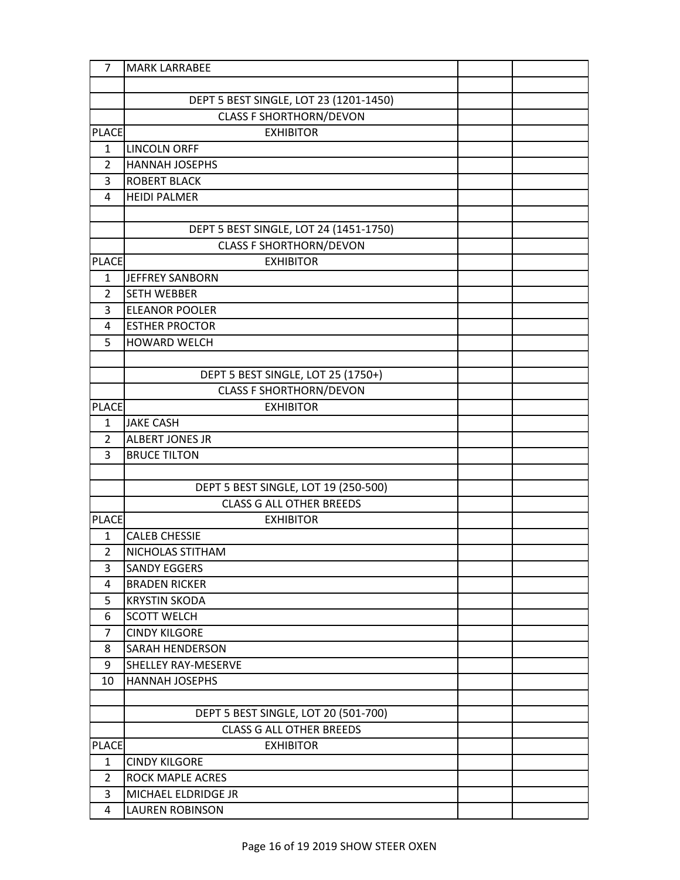| $\overline{7}$ | <b>MARK LARRABEE</b>                   |  |
|----------------|----------------------------------------|--|
|                |                                        |  |
|                | DEPT 5 BEST SINGLE, LOT 23 (1201-1450) |  |
|                | <b>CLASS F SHORTHORN/DEVON</b>         |  |
| <b>PLACE</b>   | <b>EXHIBITOR</b>                       |  |
| $\mathbf{1}$   | <b>LINCOLN ORFF</b>                    |  |
| $\overline{2}$ | <b>HANNAH JOSEPHS</b>                  |  |
| 3              | <b>ROBERT BLACK</b>                    |  |
| 4              | <b>HEIDI PALMER</b>                    |  |
|                |                                        |  |
|                | DEPT 5 BEST SINGLE, LOT 24 (1451-1750) |  |
|                | <b>CLASS F SHORTHORN/DEVON</b>         |  |
| <b>PLACE</b>   | <b>EXHIBITOR</b>                       |  |
| 1              | <b>JEFFREY SANBORN</b>                 |  |
| $\overline{2}$ | <b>SETH WEBBER</b>                     |  |
| 3              | <b>ELEANOR POOLER</b>                  |  |
| 4              | <b>ESTHER PROCTOR</b>                  |  |
| 5              | <b>HOWARD WELCH</b>                    |  |
|                |                                        |  |
|                | DEPT 5 BEST SINGLE, LOT 25 (1750+)     |  |
|                | <b>CLASS F SHORTHORN/DEVON</b>         |  |
| <b>PLACE</b>   | <b>EXHIBITOR</b>                       |  |
| 1              | <b>JAKE CASH</b>                       |  |
| $\overline{2}$ | <b>ALBERT JONES JR</b>                 |  |
| 3              | <b>BRUCE TILTON</b>                    |  |
|                |                                        |  |
|                | DEPT 5 BEST SINGLE, LOT 19 (250-500)   |  |
|                | <b>CLASS G ALL OTHER BREEDS</b>        |  |
| <b>PLACE</b>   | <b>EXHIBITOR</b>                       |  |
| $\mathbf{1}$   | <b>CALEB CHESSIE</b>                   |  |
| $\overline{2}$ | NICHOLAS STITHAM                       |  |
| 3              | <b>SANDY EGGERS</b>                    |  |
| 4              | <b>BRADEN RICKER</b>                   |  |
| 5              | <b>KRYSTIN SKODA</b>                   |  |
| 6              | <b>SCOTT WELCH</b>                     |  |
| $\overline{7}$ | <b>CINDY KILGORE</b>                   |  |
| 8              | <b>SARAH HENDERSON</b>                 |  |
| 9              | <b>SHELLEY RAY-MESERVE</b>             |  |
| 10             | <b>HANNAH JOSEPHS</b>                  |  |
|                |                                        |  |
|                | DEPT 5 BEST SINGLE, LOT 20 (501-700)   |  |
|                | <b>CLASS G ALL OTHER BREEDS</b>        |  |
| <b>PLACE</b>   | <b>EXHIBITOR</b>                       |  |
| $\mathbf{1}$   | <b>CINDY KILGORE</b>                   |  |
| $\overline{2}$ | <b>ROCK MAPLE ACRES</b>                |  |
| 3              | MICHAEL ELDRIDGE JR                    |  |
| 4              | <b>LAUREN ROBINSON</b>                 |  |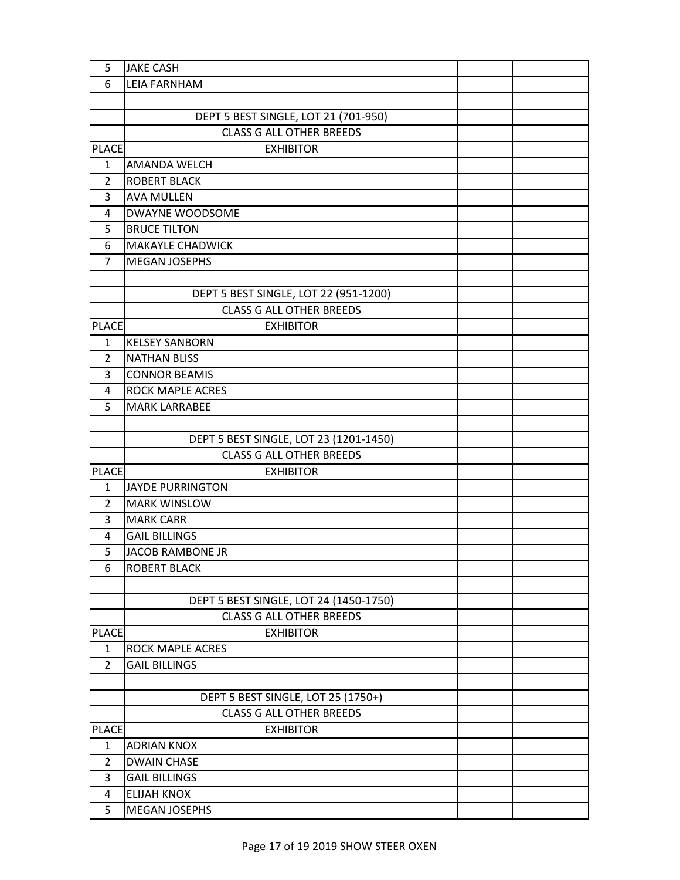| 5              | <b>JAKE CASH</b>                       |  |
|----------------|----------------------------------------|--|
| 6              | <b>LEIA FARNHAM</b>                    |  |
|                |                                        |  |
|                | DEPT 5 BEST SINGLE, LOT 21 (701-950)   |  |
|                | <b>CLASS G ALL OTHER BREEDS</b>        |  |
| <b>PLACE</b>   | <b>EXHIBITOR</b>                       |  |
| $\mathbf{1}$   | AMANDA WELCH                           |  |
| $\overline{2}$ | <b>ROBERT BLACK</b>                    |  |
| 3              | <b>AVA MULLEN</b>                      |  |
| 4              | <b>DWAYNE WOODSOME</b>                 |  |
| 5              | <b>BRUCE TILTON</b>                    |  |
| 6              | <b>MAKAYLE CHADWICK</b>                |  |
| $\overline{7}$ | <b>MEGAN JOSEPHS</b>                   |  |
|                |                                        |  |
|                | DEPT 5 BEST SINGLE, LOT 22 (951-1200)  |  |
|                | <b>CLASS G ALL OTHER BREEDS</b>        |  |
| <b>PLACE</b>   | <b>EXHIBITOR</b>                       |  |
| 1              | <b>KELSEY SANBORN</b>                  |  |
| $\overline{2}$ | <b>NATHAN BLISS</b>                    |  |
| 3              | <b>CONNOR BEAMIS</b>                   |  |
| 4              | ROCK MAPLE ACRES                       |  |
| 5              | <b>MARK LARRABEE</b>                   |  |
|                |                                        |  |
|                | DEPT 5 BEST SINGLE, LOT 23 (1201-1450) |  |
|                | <b>CLASS G ALL OTHER BREEDS</b>        |  |
| <b>PLACE</b>   | <b>EXHIBITOR</b>                       |  |
| 1              | <b>JAYDE PURRINGTON</b>                |  |
| 2              | <b>MARK WINSLOW</b>                    |  |
| 3              | <b>MARK CARR</b>                       |  |
| 4              | <b>GAIL BILLINGS</b>                   |  |
| 5              | <b>JACOB RAMBONE JR</b>                |  |
| 6              | <b>ROBERT BLACK</b>                    |  |
|                |                                        |  |
|                | DEPT 5 BEST SINGLE, LOT 24 (1450-1750) |  |
|                | <b>CLASS G ALL OTHER BREEDS</b>        |  |
| <b>PLACE</b>   | <b>EXHIBITOR</b>                       |  |
| 1              | ROCK MAPLE ACRES                       |  |
| $\overline{2}$ | <b>GAIL BILLINGS</b>                   |  |
|                |                                        |  |
|                | DEPT 5 BEST SINGLE, LOT 25 (1750+)     |  |
|                | <b>CLASS G ALL OTHER BREEDS</b>        |  |
| <b>PLACE</b>   | <b>EXHIBITOR</b>                       |  |
| 1              | <b>ADRIAN KNOX</b>                     |  |
| 2              | <b>DWAIN CHASE</b>                     |  |
| 3              | <b>GAIL BILLINGS</b>                   |  |
| 4              | <b>ELIJAH KNOX</b>                     |  |
| 5              | <b>MEGAN JOSEPHS</b>                   |  |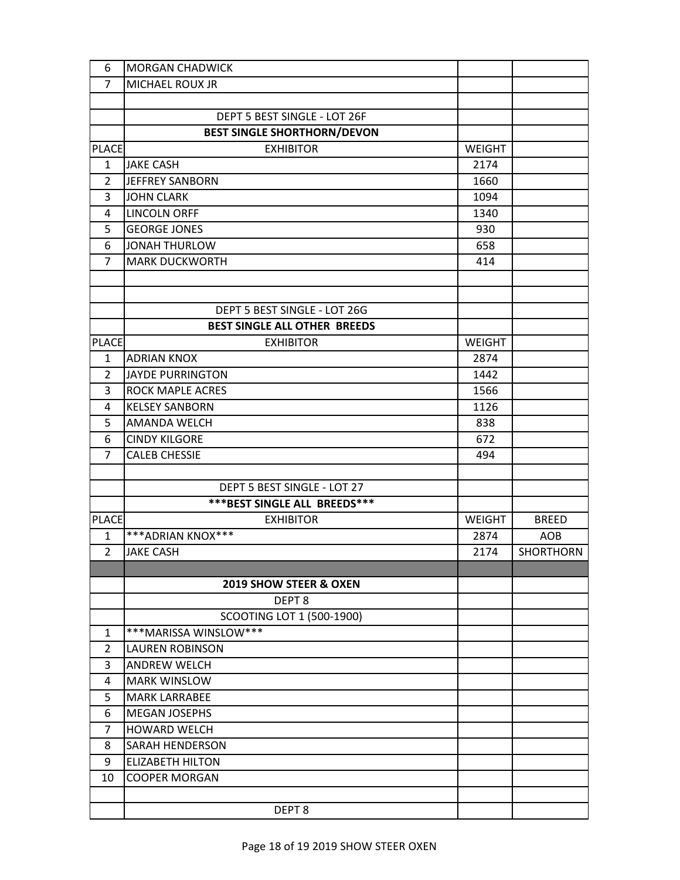| 6              | <b>MORGAN CHADWICK</b>             |               |                  |
|----------------|------------------------------------|---------------|------------------|
| $\overline{7}$ | MICHAEL ROUX JR                    |               |                  |
|                |                                    |               |                  |
|                | DEPT 5 BEST SINGLE - LOT 26F       |               |                  |
|                | <b>BEST SINGLE SHORTHORN/DEVON</b> |               |                  |
| <b>PLACE</b>   | <b>EXHIBITOR</b>                   | <b>WEIGHT</b> |                  |
| $\mathbf{1}$   | <b>JAKE CASH</b>                   | 2174          |                  |
| $\overline{2}$ | <b>JEFFREY SANBORN</b>             | 1660          |                  |
| 3              | <b>JOHN CLARK</b>                  | 1094          |                  |
| 4              | <b>LINCOLN ORFF</b>                | 1340          |                  |
| 5              | <b>GEORGE JONES</b>                | 930           |                  |
| 6              | JONAH THURLOW                      | 658           |                  |
| $\overline{7}$ | <b>MARK DUCKWORTH</b>              | 414           |                  |
|                |                                    |               |                  |
|                |                                    |               |                  |
|                | DEPT 5 BEST SINGLE - LOT 26G       |               |                  |
|                | BEST SINGLE ALL OTHER BREEDS       |               |                  |
| <b>PLACE</b>   | <b>EXHIBITOR</b>                   | <b>WEIGHT</b> |                  |
| 1              | <b>ADRIAN KNOX</b>                 | 2874          |                  |
| $\overline{2}$ | <b>JAYDE PURRINGTON</b>            | 1442          |                  |
| 3              | <b>ROCK MAPLE ACRES</b>            | 1566          |                  |
| 4              | <b>KELSEY SANBORN</b>              | 1126          |                  |
| 5              | <b>AMANDA WELCH</b>                | 838           |                  |
| 6              | <b>CINDY KILGORE</b>               | 672           |                  |
| $\overline{7}$ | <b>CALEB CHESSIE</b>               | 494           |                  |
|                |                                    |               |                  |
|                | DEPT 5 BEST SINGLE - LOT 27        |               |                  |
|                | *** BEST SINGLE ALL BREEDS***      |               |                  |
| <b>PLACE</b>   | <b>EXHIBITOR</b>                   | <b>WEIGHT</b> | <b>BREED</b>     |
| $\mathbf{1}$   | ***ADRIAN KNOX***                  | 2874          | AOB              |
| $\overline{2}$ | <b>JAKE CASH</b>                   | 2174          | <b>SHORTHORN</b> |
|                |                                    |               |                  |
|                | <b>2019 SHOW STEER &amp; OXEN</b>  |               |                  |
|                | DEPT <sub>8</sub>                  |               |                  |
|                | SCOOTING LOT 1 (500-1900)          |               |                  |
| $\mathbf{1}$   | ***MARISSA WINSLOW***              |               |                  |
| 2              | <b>LAUREN ROBINSON</b>             |               |                  |
| 3              | <b>ANDREW WELCH</b>                |               |                  |
| 4              | <b>MARK WINSLOW</b>                |               |                  |
| 5              | <b>MARK LARRABEE</b>               |               |                  |
| 6              | <b>MEGAN JOSEPHS</b>               |               |                  |
| 7              | <b>HOWARD WELCH</b>                |               |                  |
| 8              | <b>SARAH HENDERSON</b>             |               |                  |
| 9              | <b>ELIZABETH HILTON</b>            |               |                  |
| 10             | <b>COOPER MORGAN</b>               |               |                  |
|                |                                    |               |                  |
|                | DEPT <sub>8</sub>                  |               |                  |
|                |                                    |               |                  |